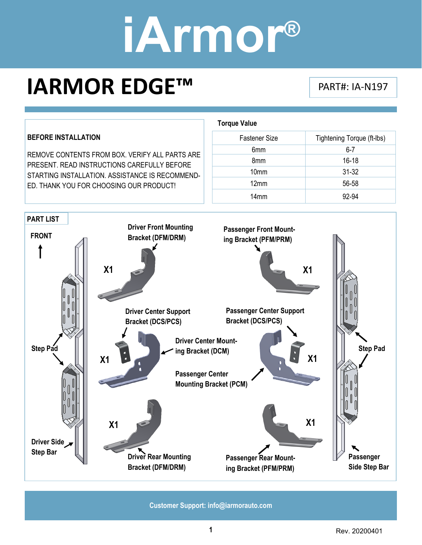### **IARMOR EDGE™** PART#: IA-N197

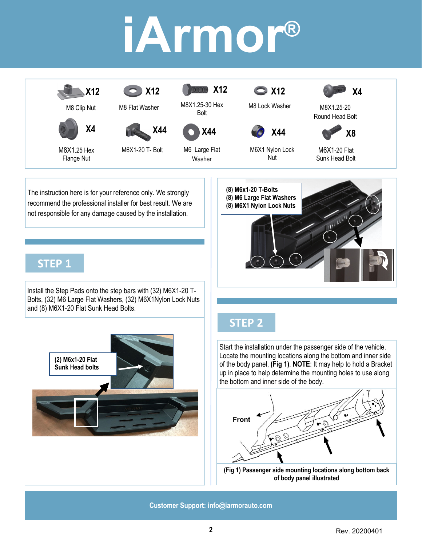

The instruction here is for your reference only. We strongly recommend the professional installer for best result. We are not responsible for any damage caused by the installation.

#### **STEP 1**

Install the Step Pads onto the step bars with (32) M6X1-20 T-Bolts, (32) M6 Large Flat Washers, (32) M6X1Nylon Lock Nuts and (8) M6X1-20 Flat Sunk Head Bolts.



#### **STEP 2**

**(8) M6x1-20 T-Bolts (8) M6 Large Flat Washers (8) M6X1 Nylon Lock Nuts** 

Start the installation under the passenger side of the vehicle. Locate the mounting locations along the bottom and inner side of the body panel, **(Fig 1)**. **NOTE**: It may help to hold a Bracket up in place to help determine the mounting holes to use along the bottom and inner side of the body.

M6X1-20 Flat Sunk Head Bolt

M8X1.25-20 Round Head Bolt

**X8** 

**X4** 



**of body panel illustrated**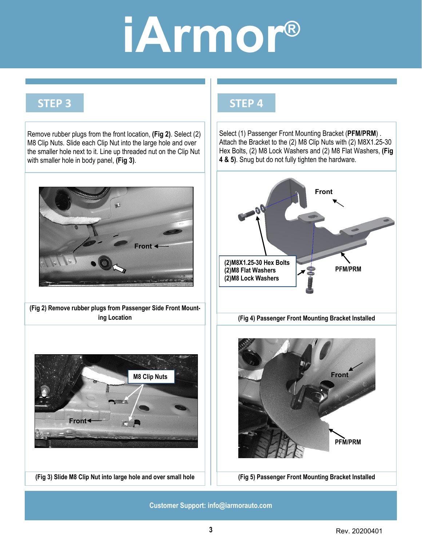#### **STEP 3**



#### **STEP 4**

Select (1) Passenger Front Mounting Bracket (**PFM/PRM**) . Attach the Bracket to the (2) M8 Clip Nuts with (2) M8X1.25-30 Hex Bolts, (2) M8 Lock Washers and (2) M8 Flat Washers, **(Fig 4 & 5)**. Snug but do not fully tighten the hardware.

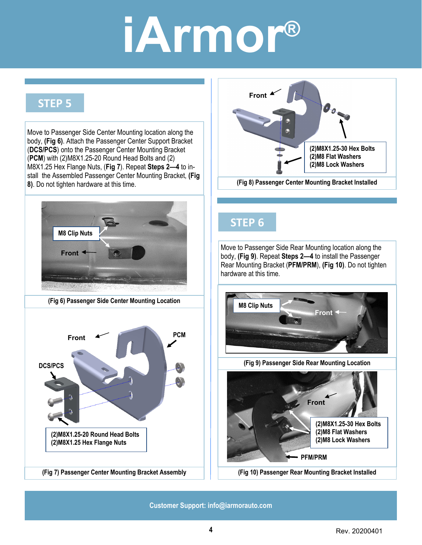#### **STEP 5**

Move to Passenger Side Center Mounting location along the body, **(Fig 6)**. Attach the Passenger Center Support Bracket (**DCS/PCS**) onto the Passenger Center Mounting Bracket (**PCM**) with (2)M8X1.25-20 Round Head Bolts and (2) M8X1.25 Hex Flange Nuts, (**Fig 7**). Repeat **Steps 2—4** to install the Assembled Passenger Center Mounting Bracket, **(Fig 8)**. Do not tighten hardware at this time.



**(Fig 6) Passenger Side Center Mounting Location** 





#### **STEP 6**

Move to Passenger Side Rear Mounting location along the body, **(Fig 9)**. Repeat **Steps 2—4** to install the Passenger Rear Mounting Bracket (**PFM/PRM**), **(Fig 10)**. Do not tighten hardware at this time.



**(Fig 9) Passenger Side Rear Mounting Location** 



**(Fig 10) Passenger Rear Mounting Bracket Installed**